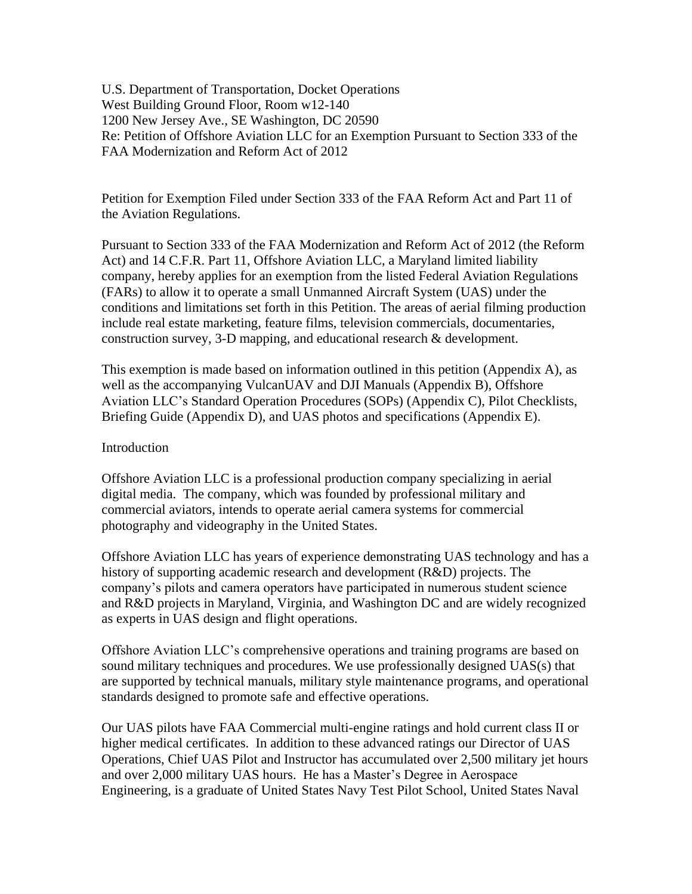U.S. Department of Transportation, Docket Operations West Building Ground Floor, Room w12-140 1200 New Jersey Ave., SE Washington, DC 20590 Re: Petition of Offshore Aviation LLC for an Exemption Pursuant to Section 333 of the FAA Modernization and Reform Act of 2012

Petition for Exemption Filed under Section 333 of the FAA Reform Act and Part 11 of the Aviation Regulations.

Pursuant to Section 333 of the FAA Modernization and Reform Act of 2012 (the Reform Act) and 14 C.F.R. Part 11, Offshore Aviation LLC, a Maryland limited liability company, hereby applies for an exemption from the listed Federal Aviation Regulations (FARs) to allow it to operate a small Unmanned Aircraft System (UAS) under the conditions and limitations set forth in this Petition. The areas of aerial filming production include real estate marketing, feature films, television commercials, documentaries, construction survey, 3-D mapping, and educational research & development.

This exemption is made based on information outlined in this petition (Appendix A), as well as the accompanying VulcanUAV and DJI Manuals (Appendix B), Offshore Aviation LLC's Standard Operation Procedures (SOPs) (Appendix C), Pilot Checklists, Briefing Guide (Appendix D), and UAS photos and specifications (Appendix E).

#### Introduction

Offshore Aviation LLC is a professional production company specializing in aerial digital media. The company, which was founded by professional military and commercial aviators, intends to operate aerial camera systems for commercial photography and videography in the United States.

Offshore Aviation LLC has years of experience demonstrating UAS technology and has a history of supporting academic research and development (R&D) projects. The company's pilots and camera operators have participated in numerous student science and R&D projects in Maryland, Virginia, and Washington DC and are widely recognized as experts in UAS design and flight operations.

Offshore Aviation LLC's comprehensive operations and training programs are based on sound military techniques and procedures. We use professionally designed UAS(s) that are supported by technical manuals, military style maintenance programs, and operational standards designed to promote safe and effective operations.

Our UAS pilots have FAA Commercial multi-engine ratings and hold current class II or higher medical certificates. In addition to these advanced ratings our Director of UAS Operations, Chief UAS Pilot and Instructor has accumulated over 2,500 military jet hours and over 2,000 military UAS hours. He has a Master's Degree in Aerospace Engineering, is a graduate of United States Navy Test Pilot School, United States Naval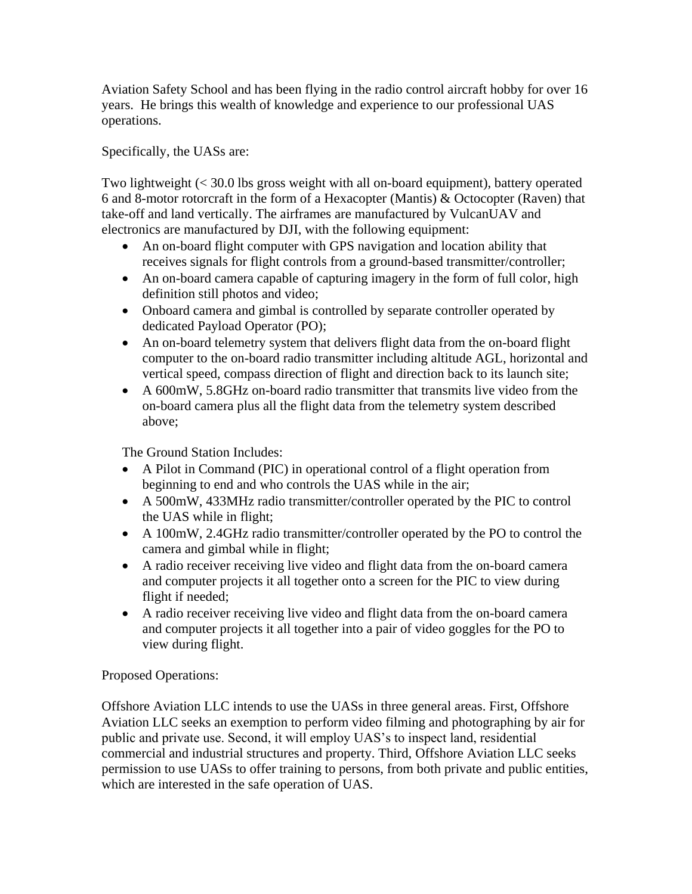Aviation Safety School and has been flying in the radio control aircraft hobby for over 16 years. He brings this wealth of knowledge and experience to our professional UAS operations.

Specifically, the UASs are:

Two lightweight (< 30.0 lbs gross weight with all on-board equipment), battery operated 6 and 8-motor rotorcraft in the form of a Hexacopter (Mantis) & Octocopter (Raven) that take-off and land vertically. The airframes are manufactured by VulcanUAV and electronics are manufactured by DJI, with the following equipment:

- An on-board flight computer with GPS navigation and location ability that receives signals for flight controls from a ground-based transmitter/controller;
- An on-board camera capable of capturing imagery in the form of full color, high definition still photos and video;
- Onboard camera and gimbal is controlled by separate controller operated by dedicated Payload Operator (PO);
- An on-board telemetry system that delivers flight data from the on-board flight computer to the on-board radio transmitter including altitude AGL, horizontal and vertical speed, compass direction of flight and direction back to its launch site;
- A 600mW, 5.8GHz on-board radio transmitter that transmits live video from the on-board camera plus all the flight data from the telemetry system described above;

The Ground Station Includes:

- A Pilot in Command (PIC) in operational control of a flight operation from beginning to end and who controls the UAS while in the air;
- A 500mW, 433MHz radio transmitter/controller operated by the PIC to control the UAS while in flight;
- A 100mW, 2.4GHz radio transmitter/controller operated by the PO to control the camera and gimbal while in flight;
- A radio receiver receiving live video and flight data from the on-board camera and computer projects it all together onto a screen for the PIC to view during flight if needed;
- A radio receiver receiving live video and flight data from the on-board camera and computer projects it all together into a pair of video goggles for the PO to view during flight.

Proposed Operations:

Offshore Aviation LLC intends to use the UASs in three general areas. First, Offshore Aviation LLC seeks an exemption to perform video filming and photographing by air for public and private use. Second, it will employ UAS's to inspect land, residential commercial and industrial structures and property. Third, Offshore Aviation LLC seeks permission to use UASs to offer training to persons, from both private and public entities, which are interested in the safe operation of UAS.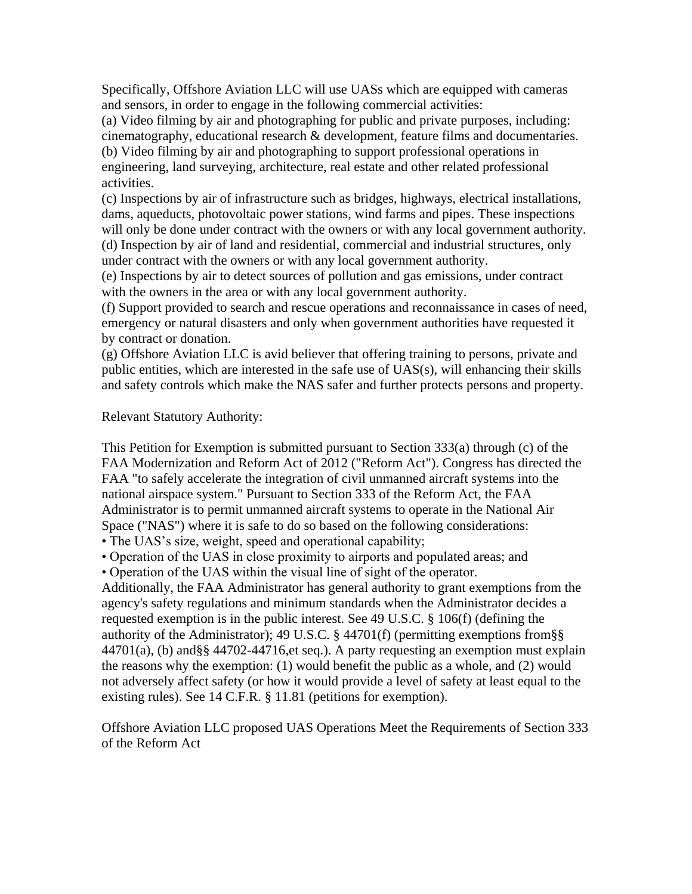Specifically, Offshore Aviation LLC will use UASs which are equipped with cameras and sensors, in order to engage in the following commercial activities:

(a) Video filming by air and photographing for public and private purposes, including: cinematography, educational research & development, feature films and documentaries. (b) Video filming by air and photographing to support professional operations in engineering, land surveying, architecture, real estate and other related professional activities.

(c) Inspections by air of infrastructure such as bridges, highways, electrical installations, dams, aqueducts, photovoltaic power stations, wind farms and pipes. These inspections will only be done under contract with the owners or with any local government authority. (d) Inspection by air of land and residential, commercial and industrial structures, only under contract with the owners or with any local government authority.

(e) Inspections by air to detect sources of pollution and gas emissions, under contract with the owners in the area or with any local government authority.

(f) Support provided to search and rescue operations and reconnaissance in cases of need, emergency or natural disasters and only when government authorities have requested it by contract or donation.

(g) Offshore Aviation LLC is avid believer that offering training to persons, private and public entities, which are interested in the safe use of UAS(s), will enhancing their skills and safety controls which make the NAS safer and further protects persons and property.

#### Relevant Statutory Authority:

This Petition for Exemption is submitted pursuant to Section 333(a) through (c) of the FAA Modernization and Reform Act of 2012 ("Reform Act"). Congress has directed the FAA "to safely accelerate the integration of civil unmanned aircraft systems into the national airspace system." Pursuant to Section 333 of the Reform Act, the FAA Administrator is to permit unmanned aircraft systems to operate in the National Air Space ("NAS") where it is safe to do so based on the following considerations:

• The UAS's size, weight, speed and operational capability;

• Operation of the UAS in close proximity to airports and populated areas; and

• Operation of the UAS within the visual line of sight of the operator.

Additionally, the FAA Administrator has general authority to grant exemptions from the agency's safety regulations and minimum standards when the Administrator decides a requested exemption is in the public interest. See 49 U.S.C. § 106(f) (defining the authority of the Administrator); 49 U.S.C. § 44701(f) (permitting exemptions from§§ 44701(a), (b) and§§ 44702-44716,et seq.). A party requesting an exemption must explain the reasons why the exemption: (1) would benefit the public as a whole, and (2) would not adversely affect safety (or how it would provide a level of safety at least equal to the existing rules). See 14 C.F.R. § 11.81 (petitions for exemption).

Offshore Aviation LLC proposed UAS Operations Meet the Requirements of Section 333 of the Reform Act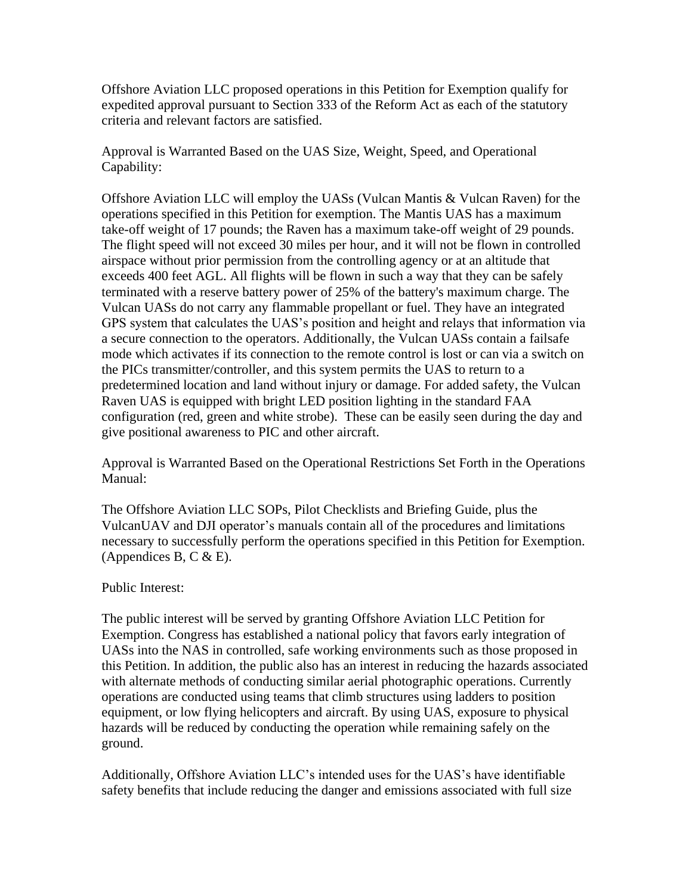Offshore Aviation LLC proposed operations in this Petition for Exemption qualify for expedited approval pursuant to Section 333 of the Reform Act as each of the statutory criteria and relevant factors are satisfied.

Approval is Warranted Based on the UAS Size, Weight, Speed, and Operational Capability:

Offshore Aviation LLC will employ the UASs (Vulcan Mantis & Vulcan Raven) for the operations specified in this Petition for exemption. The Mantis UAS has a maximum take-off weight of 17 pounds; the Raven has a maximum take-off weight of 29 pounds. The flight speed will not exceed 30 miles per hour, and it will not be flown in controlled airspace without prior permission from the controlling agency or at an altitude that exceeds 400 feet AGL. All flights will be flown in such a way that they can be safely terminated with a reserve battery power of 25% of the battery's maximum charge. The Vulcan UASs do not carry any flammable propellant or fuel. They have an integrated GPS system that calculates the UAS's position and height and relays that information via a secure connection to the operators. Additionally, the Vulcan UASs contain a failsafe mode which activates if its connection to the remote control is lost or can via a switch on the PICs transmitter/controller, and this system permits the UAS to return to a predetermined location and land without injury or damage. For added safety, the Vulcan Raven UAS is equipped with bright LED position lighting in the standard FAA configuration (red, green and white strobe). These can be easily seen during the day and give positional awareness to PIC and other aircraft.

Approval is Warranted Based on the Operational Restrictions Set Forth in the Operations Manual:

The Offshore Aviation LLC SOPs, Pilot Checklists and Briefing Guide, plus the VulcanUAV and DJI operator's manuals contain all of the procedures and limitations necessary to successfully perform the operations specified in this Petition for Exemption. (Appendices B, C  $& E$ ).

### Public Interest:

The public interest will be served by granting Offshore Aviation LLC Petition for Exemption. Congress has established a national policy that favors early integration of UASs into the NAS in controlled, safe working environments such as those proposed in this Petition. In addition, the public also has an interest in reducing the hazards associated with alternate methods of conducting similar aerial photographic operations. Currently operations are conducted using teams that climb structures using ladders to position equipment, or low flying helicopters and aircraft. By using UAS, exposure to physical hazards will be reduced by conducting the operation while remaining safely on the ground.

Additionally, Offshore Aviation LLC's intended uses for the UAS's have identifiable safety benefits that include reducing the danger and emissions associated with full size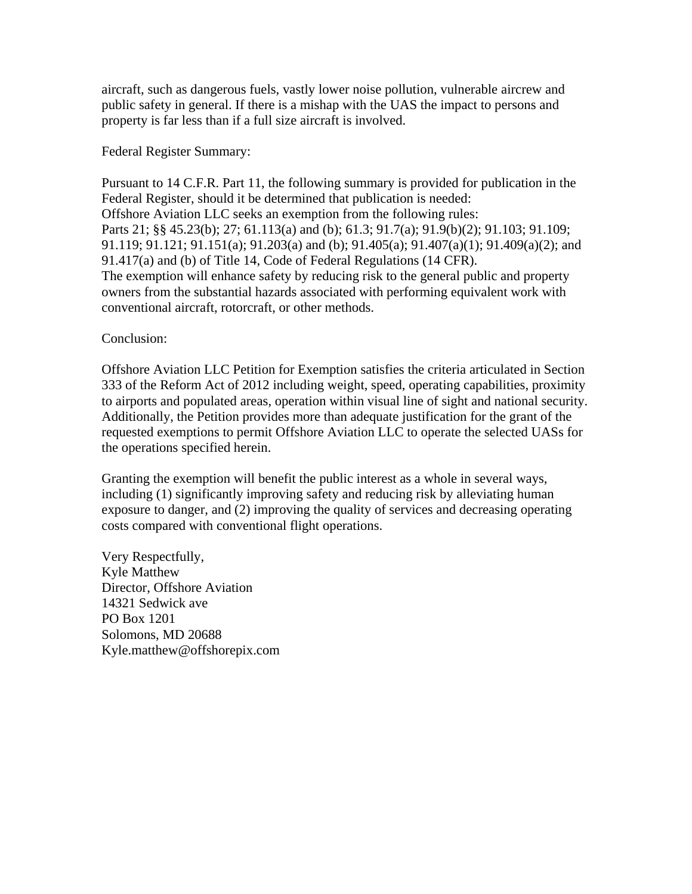aircraft, such as dangerous fuels, vastly lower noise pollution, vulnerable aircrew and public safety in general. If there is a mishap with the UAS the impact to persons and property is far less than if a full size aircraft is involved.

Federal Register Summary:

Pursuant to 14 C.F.R. Part 11, the following summary is provided for publication in the Federal Register, should it be determined that publication is needed: Offshore Aviation LLC seeks an exemption from the following rules: Parts 21; §§ 45.23(b); 27; 61.113(a) and (b); 61.3; 91.7(a); 91.9(b)(2); 91.103; 91.109; 91.119; 91.121; 91.151(a); 91.203(a) and (b); 91.405(a); 91.407(a)(1); 91.409(a)(2); and 91.417(a) and (b) of Title 14, Code of Federal Regulations (14 CFR). The exemption will enhance safety by reducing risk to the general public and property owners from the substantial hazards associated with performing equivalent work with conventional aircraft, rotorcraft, or other methods.

## Conclusion:

Offshore Aviation LLC Petition for Exemption satisfies the criteria articulated in Section 333 of the Reform Act of 2012 including weight, speed, operating capabilities, proximity to airports and populated areas, operation within visual line of sight and national security. Additionally, the Petition provides more than adequate justification for the grant of the requested exemptions to permit Offshore Aviation LLC to operate the selected UASs for the operations specified herein.

Granting the exemption will benefit the public interest as a whole in several ways, including (1) significantly improving safety and reducing risk by alleviating human exposure to danger, and (2) improving the quality of services and decreasing operating costs compared with conventional flight operations.

Very Respectfully, Kyle Matthew Director, Offshore Aviation 14321 Sedwick ave PO Box 1201 Solomons, MD 20688 Kyle.matthew@offshorepix.com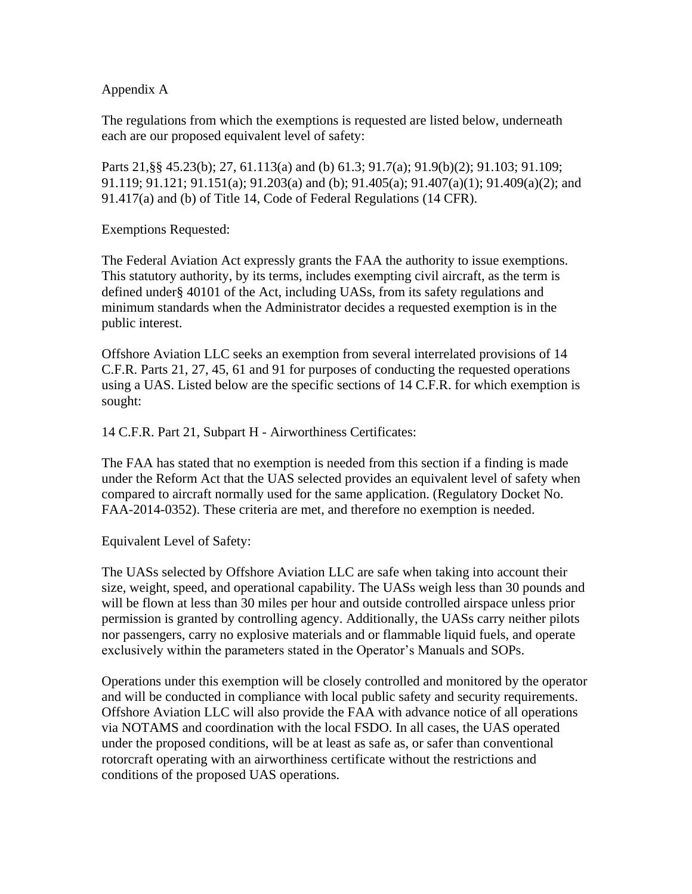## Appendix A

The regulations from which the exemptions is requested are listed below, underneath each are our proposed equivalent level of safety:

Parts 21,§§ 45.23(b); 27, 61.113(a) and (b) 61.3; 91.7(a); 91.9(b)(2); 91.103; 91.109; 91.119; 91.121; 91.151(a); 91.203(a) and (b); 91.405(a); 91.407(a)(1); 91.409(a)(2); and 91.417(a) and (b) of Title 14, Code of Federal Regulations (14 CFR).

Exemptions Requested:

The Federal Aviation Act expressly grants the FAA the authority to issue exemptions. This statutory authority, by its terms, includes exempting civil aircraft, as the term is defined under§ 40101 of the Act, including UASs, from its safety regulations and minimum standards when the Administrator decides a requested exemption is in the public interest.

Offshore Aviation LLC seeks an exemption from several interrelated provisions of 14 C.F.R. Parts 21, 27, 45, 61 and 91 for purposes of conducting the requested operations using a UAS. Listed below are the specific sections of 14 C.F.R. for which exemption is sought:

14 C.F.R. Part 21, Subpart H - Airworthiness Certificates:

The FAA has stated that no exemption is needed from this section if a finding is made under the Reform Act that the UAS selected provides an equivalent level of safety when compared to aircraft normally used for the same application. (Regulatory Docket No. FAA-2014-0352). These criteria are met, and therefore no exemption is needed.

Equivalent Level of Safety:

The UASs selected by Offshore Aviation LLC are safe when taking into account their size, weight, speed, and operational capability. The UASs weigh less than 30 pounds and will be flown at less than 30 miles per hour and outside controlled airspace unless prior permission is granted by controlling agency. Additionally, the UASs carry neither pilots nor passengers, carry no explosive materials and or flammable liquid fuels, and operate exclusively within the parameters stated in the Operator's Manuals and SOPs.

Operations under this exemption will be closely controlled and monitored by the operator and will be conducted in compliance with local public safety and security requirements. Offshore Aviation LLC will also provide the FAA with advance notice of all operations via NOTAMS and coordination with the local FSDO. In all cases, the UAS operated under the proposed conditions, will be at least as safe as, or safer than conventional rotorcraft operating with an airworthiness certificate without the restrictions and conditions of the proposed UAS operations.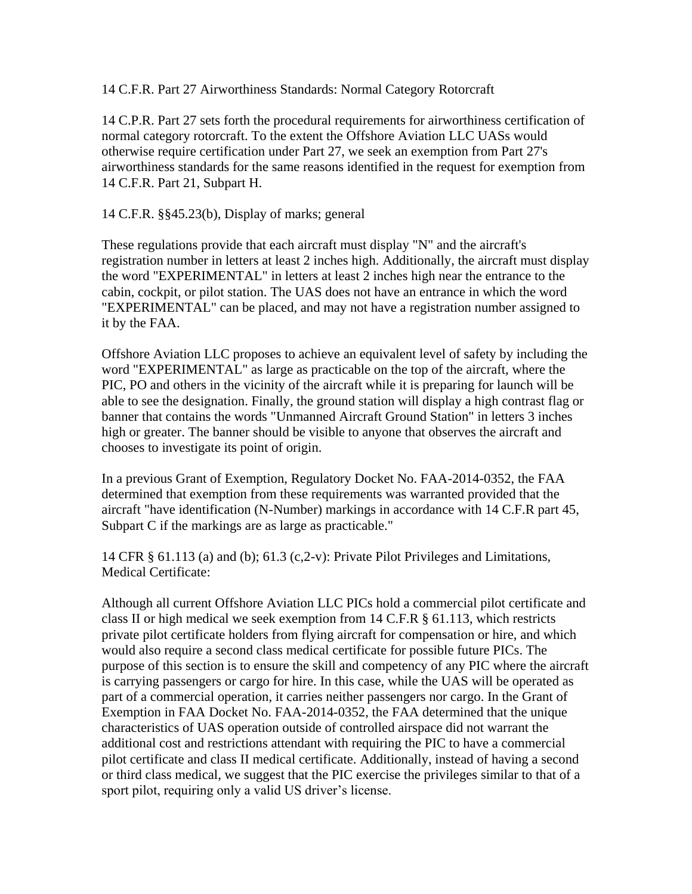14 C.F.R. Part 27 Airworthiness Standards: Normal Category Rotorcraft

14 C.P.R. Part 27 sets forth the procedural requirements for airworthiness certification of normal category rotorcraft. To the extent the Offshore Aviation LLC UASs would otherwise require certification under Part 27, we seek an exemption from Part 27's airworthiness standards for the same reasons identified in the request for exemption from 14 C.F.R. Part 21, Subpart H.

14 C.F.R. §§45.23(b), Display of marks; general

These regulations provide that each aircraft must display "N" and the aircraft's registration number in letters at least 2 inches high. Additionally, the aircraft must display the word "EXPERIMENTAL" in letters at least 2 inches high near the entrance to the cabin, cockpit, or pilot station. The UAS does not have an entrance in which the word "EXPERIMENTAL" can be placed, and may not have a registration number assigned to it by the FAA.

Offshore Aviation LLC proposes to achieve an equivalent level of safety by including the word "EXPERIMENTAL" as large as practicable on the top of the aircraft, where the PIC, PO and others in the vicinity of the aircraft while it is preparing for launch will be able to see the designation. Finally, the ground station will display a high contrast flag or banner that contains the words "Unmanned Aircraft Ground Station" in letters 3 inches high or greater. The banner should be visible to anyone that observes the aircraft and chooses to investigate its point of origin.

In a previous Grant of Exemption, Regulatory Docket No. FAA-2014-0352, the FAA determined that exemption from these requirements was warranted provided that the aircraft "have identification (N-Number) markings in accordance with 14 C.F.R part 45, Subpart C if the markings are as large as practicable."

14 CFR § 61.113 (a) and (b); 61.3 (c,2-v): Private Pilot Privileges and Limitations, Medical Certificate:

Although all current Offshore Aviation LLC PICs hold a commercial pilot certificate and class II or high medical we seek exemption from 14 C.F.R § 61.113, which restricts private pilot certificate holders from flying aircraft for compensation or hire, and which would also require a second class medical certificate for possible future PICs. The purpose of this section is to ensure the skill and competency of any PIC where the aircraft is carrying passengers or cargo for hire. In this case, while the UAS will be operated as part of a commercial operation, it carries neither passengers nor cargo. In the Grant of Exemption in FAA Docket No. FAA-2014-0352, the FAA determined that the unique characteristics of UAS operation outside of controlled airspace did not warrant the additional cost and restrictions attendant with requiring the PIC to have a commercial pilot certificate and class II medical certificate. Additionally, instead of having a second or third class medical, we suggest that the PIC exercise the privileges similar to that of a sport pilot, requiring only a valid US driver's license.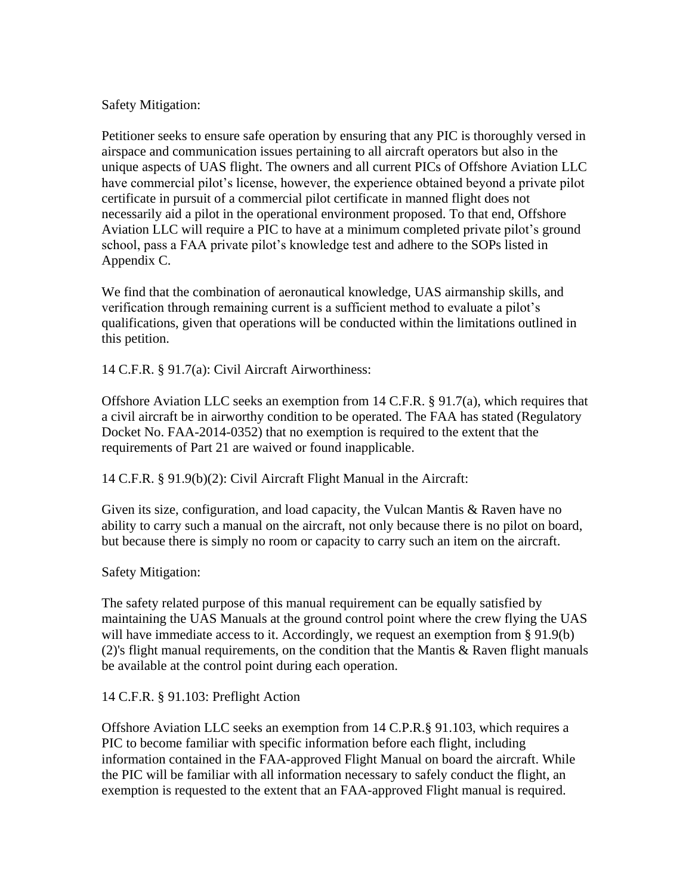### Safety Mitigation:

Petitioner seeks to ensure safe operation by ensuring that any PIC is thoroughly versed in airspace and communication issues pertaining to all aircraft operators but also in the unique aspects of UAS flight. The owners and all current PICs of Offshore Aviation LLC have commercial pilot's license, however, the experience obtained beyond a private pilot certificate in pursuit of a commercial pilot certificate in manned flight does not necessarily aid a pilot in the operational environment proposed. To that end, Offshore Aviation LLC will require a PIC to have at a minimum completed private pilot's ground school, pass a FAA private pilot's knowledge test and adhere to the SOPs listed in Appendix C.

We find that the combination of aeronautical knowledge, UAS airmanship skills, and verification through remaining current is a sufficient method to evaluate a pilot's qualifications, given that operations will be conducted within the limitations outlined in this petition.

14 C.F.R. § 91.7(a): Civil Aircraft Airworthiness:

Offshore Aviation LLC seeks an exemption from 14 C.F.R. § 91.7(a), which requires that a civil aircraft be in airworthy condition to be operated. The FAA has stated (Regulatory Docket No. FAA-2014-0352) that no exemption is required to the extent that the requirements of Part 21 are waived or found inapplicable.

14 C.F.R. § 91.9(b)(2): Civil Aircraft Flight Manual in the Aircraft:

Given its size, configuration, and load capacity, the Vulcan Mantis & Raven have no ability to carry such a manual on the aircraft, not only because there is no pilot on board, but because there is simply no room or capacity to carry such an item on the aircraft.

Safety Mitigation:

The safety related purpose of this manual requirement can be equally satisfied by maintaining the UAS Manuals at the ground control point where the crew flying the UAS will have immediate access to it. Accordingly, we request an exemption from § 91.9(b) (2)'s flight manual requirements, on the condition that the Mantis & Raven flight manuals be available at the control point during each operation.

### 14 C.F.R. § 91.103: Preflight Action

Offshore Aviation LLC seeks an exemption from 14 C.P.R.§ 91.103, which requires a PIC to become familiar with specific information before each flight, including information contained in the FAA-approved Flight Manual on board the aircraft. While the PIC will be familiar with all information necessary to safely conduct the flight, an exemption is requested to the extent that an FAA-approved Flight manual is required.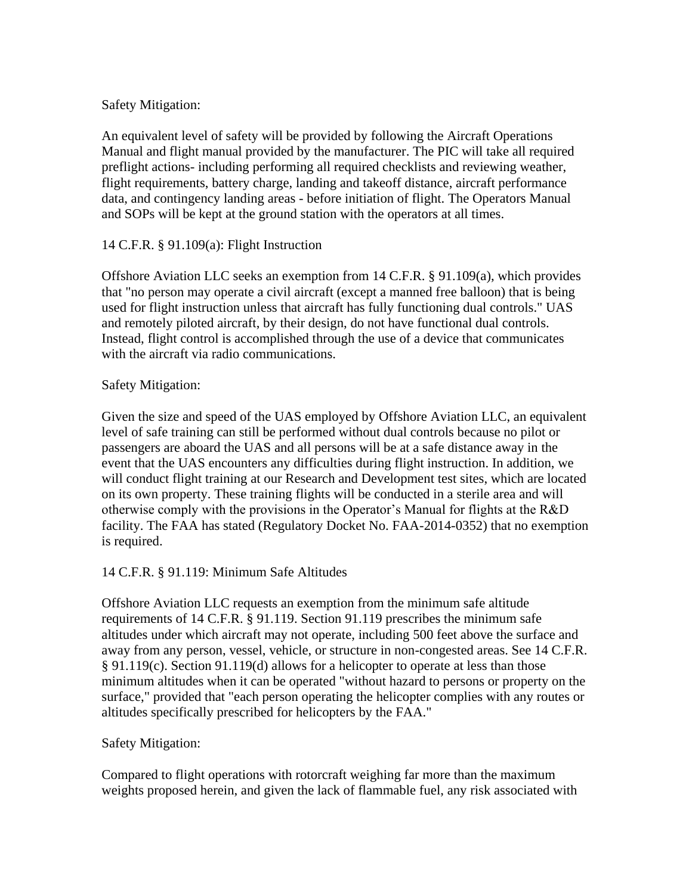## Safety Mitigation:

An equivalent level of safety will be provided by following the Aircraft Operations Manual and flight manual provided by the manufacturer. The PIC will take all required preflight actions- including performing all required checklists and reviewing weather, flight requirements, battery charge, landing and takeoff distance, aircraft performance data, and contingency landing areas - before initiation of flight. The Operators Manual and SOPs will be kept at the ground station with the operators at all times.

# 14 C.F.R. § 91.109(a): Flight Instruction

Offshore Aviation LLC seeks an exemption from 14 C.F.R. § 91.109(a), which provides that "no person may operate a civil aircraft (except a manned free balloon) that is being used for flight instruction unless that aircraft has fully functioning dual controls." UAS and remotely piloted aircraft, by their design, do not have functional dual controls. Instead, flight control is accomplished through the use of a device that communicates with the aircraft via radio communications.

# Safety Mitigation:

Given the size and speed of the UAS employed by Offshore Aviation LLC, an equivalent level of safe training can still be performed without dual controls because no pilot or passengers are aboard the UAS and all persons will be at a safe distance away in the event that the UAS encounters any difficulties during flight instruction. In addition, we will conduct flight training at our Research and Development test sites, which are located on its own property. These training flights will be conducted in a sterile area and will otherwise comply with the provisions in the Operator's Manual for flights at the R&D facility. The FAA has stated (Regulatory Docket No. FAA-2014-0352) that no exemption is required.

# 14 C.F.R. § 91.119: Minimum Safe Altitudes

Offshore Aviation LLC requests an exemption from the minimum safe altitude requirements of 14 C.F.R. § 91.119. Section 91.119 prescribes the minimum safe altitudes under which aircraft may not operate, including 500 feet above the surface and away from any person, vessel, vehicle, or structure in non-congested areas. See 14 C.F.R. § 91.119(c). Section 91.119(d) allows for a helicopter to operate at less than those minimum altitudes when it can be operated "without hazard to persons or property on the surface," provided that "each person operating the helicopter complies with any routes or altitudes specifically prescribed for helicopters by the FAA."

# Safety Mitigation:

Compared to flight operations with rotorcraft weighing far more than the maximum weights proposed herein, and given the lack of flammable fuel, any risk associated with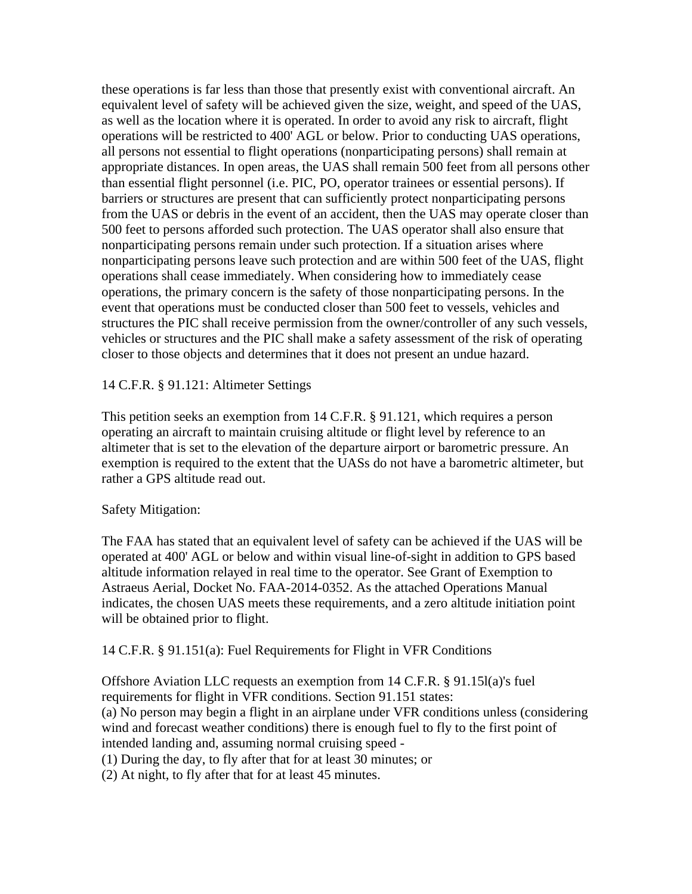these operations is far less than those that presently exist with conventional aircraft. An equivalent level of safety will be achieved given the size, weight, and speed of the UAS, as well as the location where it is operated. In order to avoid any risk to aircraft, flight operations will be restricted to 400' AGL or below. Prior to conducting UAS operations, all persons not essential to flight operations (nonparticipating persons) shall remain at appropriate distances. In open areas, the UAS shall remain 500 feet from all persons other than essential flight personnel (i.e. PIC, PO, operator trainees or essential persons). If barriers or structures are present that can sufficiently protect nonparticipating persons from the UAS or debris in the event of an accident, then the UAS may operate closer than 500 feet to persons afforded such protection. The UAS operator shall also ensure that nonparticipating persons remain under such protection. If a situation arises where nonparticipating persons leave such protection and are within 500 feet of the UAS, flight operations shall cease immediately. When considering how to immediately cease operations, the primary concern is the safety of those nonparticipating persons. In the event that operations must be conducted closer than 500 feet to vessels, vehicles and structures the PIC shall receive permission from the owner/controller of any such vessels, vehicles or structures and the PIC shall make a safety assessment of the risk of operating closer to those objects and determines that it does not present an undue hazard.

## 14 C.F.R. § 91.121: Altimeter Settings

This petition seeks an exemption from 14 C.F.R. § 91.121, which requires a person operating an aircraft to maintain cruising altitude or flight level by reference to an altimeter that is set to the elevation of the departure airport or barometric pressure. An exemption is required to the extent that the UASs do not have a barometric altimeter, but rather a GPS altitude read out.

### Safety Mitigation:

The FAA has stated that an equivalent level of safety can be achieved if the UAS will be operated at 400' AGL or below and within visual line-of-sight in addition to GPS based altitude information relayed in real time to the operator. See Grant of Exemption to Astraeus Aerial, Docket No. FAA-2014-0352. As the attached Operations Manual indicates, the chosen UAS meets these requirements, and a zero altitude initiation point will be obtained prior to flight.

### 14 C.F.R. § 91.151(a): Fuel Requirements for Flight in VFR Conditions

Offshore Aviation LLC requests an exemption from 14 C.F.R. § 91.15l(a)'s fuel requirements for flight in VFR conditions. Section 91.151 states: (a) No person may begin a flight in an airplane under VFR conditions unless (considering wind and forecast weather conditions) there is enough fuel to fly to the first point of intended landing and, assuming normal cruising speed - (1) During the day, to fly after that for at least 30 minutes; or

(2) At night, to fly after that for at least 45 minutes.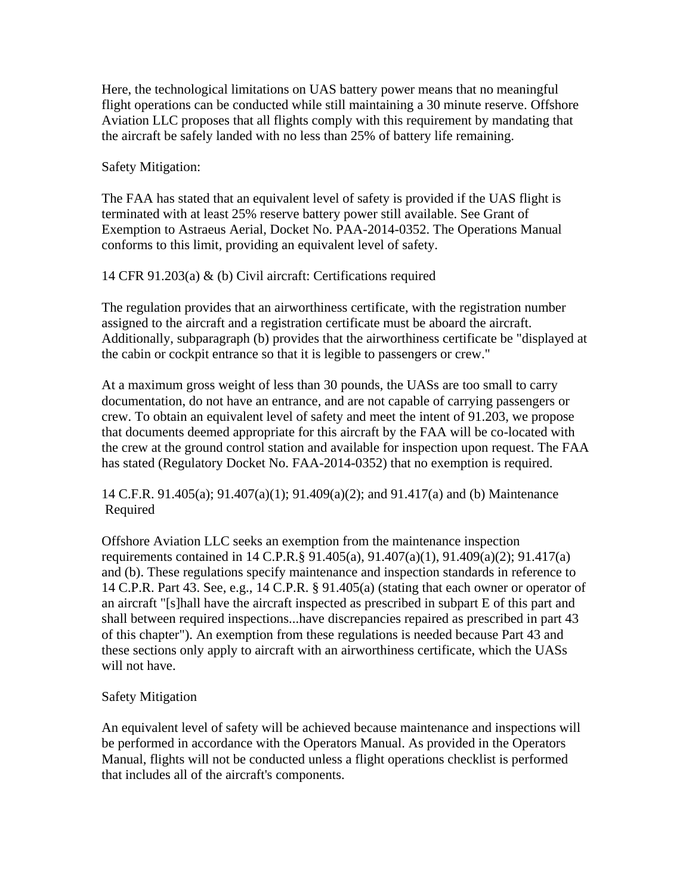Here, the technological limitations on UAS battery power means that no meaningful flight operations can be conducted while still maintaining a 30 minute reserve. Offshore Aviation LLC proposes that all flights comply with this requirement by mandating that the aircraft be safely landed with no less than 25% of battery life remaining.

Safety Mitigation:

The FAA has stated that an equivalent level of safety is provided if the UAS flight is terminated with at least 25% reserve battery power still available. See Grant of Exemption to Astraeus Aerial, Docket No. PAA-2014-0352. The Operations Manual conforms to this limit, providing an equivalent level of safety.

14 CFR 91.203(a) & (b) Civil aircraft: Certifications required

The regulation provides that an airworthiness certificate, with the registration number assigned to the aircraft and a registration certificate must be aboard the aircraft. Additionally, subparagraph (b) provides that the airworthiness certificate be "displayed at the cabin or cockpit entrance so that it is legible to passengers or crew."

At a maximum gross weight of less than 30 pounds, the UASs are too small to carry documentation, do not have an entrance, and are not capable of carrying passengers or crew. To obtain an equivalent level of safety and meet the intent of 91.203, we propose that documents deemed appropriate for this aircraft by the FAA will be co-located with the crew at the ground control station and available for inspection upon request. The FAA has stated (Regulatory Docket No. FAA-2014-0352) that no exemption is required.

14 C.F.R. 91.405(a); 91.407(a)(1); 91.409(a)(2); and 91.417(a) and (b) Maintenance Required

Offshore Aviation LLC seeks an exemption from the maintenance inspection requirements contained in 14 C.P.R.§ 91.405(a), 91.407(a)(1), 91.409(a)(2); 91.417(a) and (b). These regulations specify maintenance and inspection standards in reference to 14 C.P.R. Part 43. See, e.g., 14 C.P.R. § 91.405(a) (stating that each owner or operator of an aircraft "[s]hall have the aircraft inspected as prescribed in subpart E of this part and shall between required inspections...have discrepancies repaired as prescribed in part 43 of this chapter"). An exemption from these regulations is needed because Part 43 and these sections only apply to aircraft with an airworthiness certificate, which the UASs will not have.

# Safety Mitigation

An equivalent level of safety will be achieved because maintenance and inspections will be performed in accordance with the Operators Manual. As provided in the Operators Manual, flights will not be conducted unless a flight operations checklist is performed that includes all of the aircraft's components.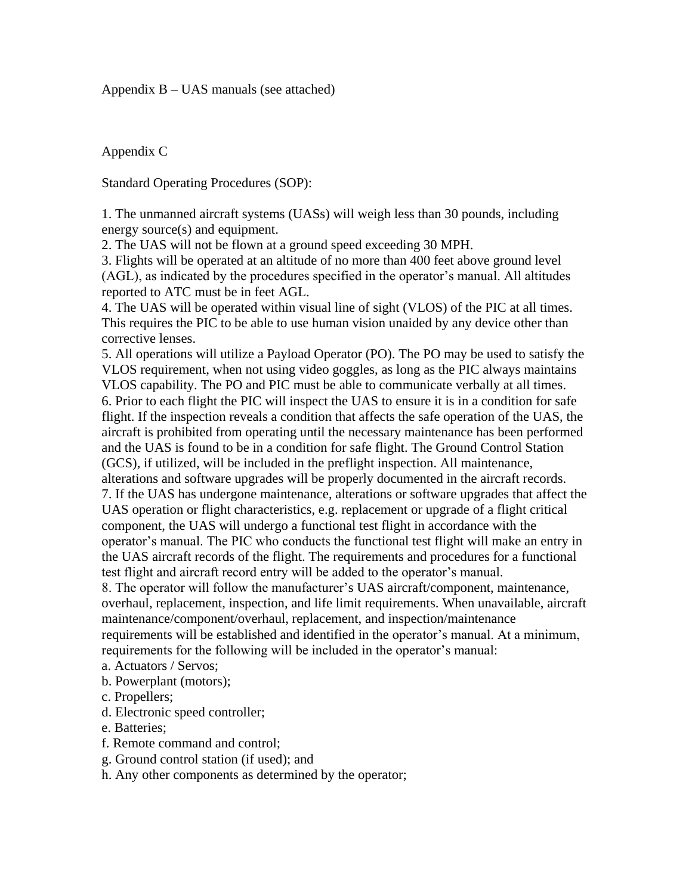### Appendix B – UAS manuals (see attached)

Appendix C

Standard Operating Procedures (SOP):

1. The unmanned aircraft systems (UASs) will weigh less than 30 pounds, including energy source(s) and equipment.

2. The UAS will not be flown at a ground speed exceeding 30 MPH.

3. Flights will be operated at an altitude of no more than 400 feet above ground level (AGL), as indicated by the procedures specified in the operator's manual. All altitudes reported to ATC must be in feet AGL.

4. The UAS will be operated within visual line of sight (VLOS) of the PIC at all times. This requires the PIC to be able to use human vision unaided by any device other than corrective lenses.

5. All operations will utilize a Payload Operator (PO). The PO may be used to satisfy the VLOS requirement, when not using video goggles, as long as the PIC always maintains VLOS capability. The PO and PIC must be able to communicate verbally at all times. 6. Prior to each flight the PIC will inspect the UAS to ensure it is in a condition for safe flight. If the inspection reveals a condition that affects the safe operation of the UAS, the aircraft is prohibited from operating until the necessary maintenance has been performed and the UAS is found to be in a condition for safe flight. The Ground Control Station (GCS), if utilized, will be included in the preflight inspection. All maintenance, alterations and software upgrades will be properly documented in the aircraft records. 7. If the UAS has undergone maintenance, alterations or software upgrades that affect the UAS operation or flight characteristics, e.g. replacement or upgrade of a flight critical component, the UAS will undergo a functional test flight in accordance with the operator's manual. The PIC who conducts the functional test flight will make an entry in the UAS aircraft records of the flight. The requirements and procedures for a functional test flight and aircraft record entry will be added to the operator's manual.

8. The operator will follow the manufacturer's UAS aircraft/component, maintenance, overhaul, replacement, inspection, and life limit requirements. When unavailable, aircraft maintenance/component/overhaul, replacement, and inspection/maintenance requirements will be established and identified in the operator's manual. At a minimum, requirements for the following will be included in the operator's manual:

- a. Actuators / Servos;
- b. Powerplant (motors);
- c. Propellers;
- d. Electronic speed controller;
- e. Batteries;
- f. Remote command and control;
- g. Ground control station (if used); and
- h. Any other components as determined by the operator;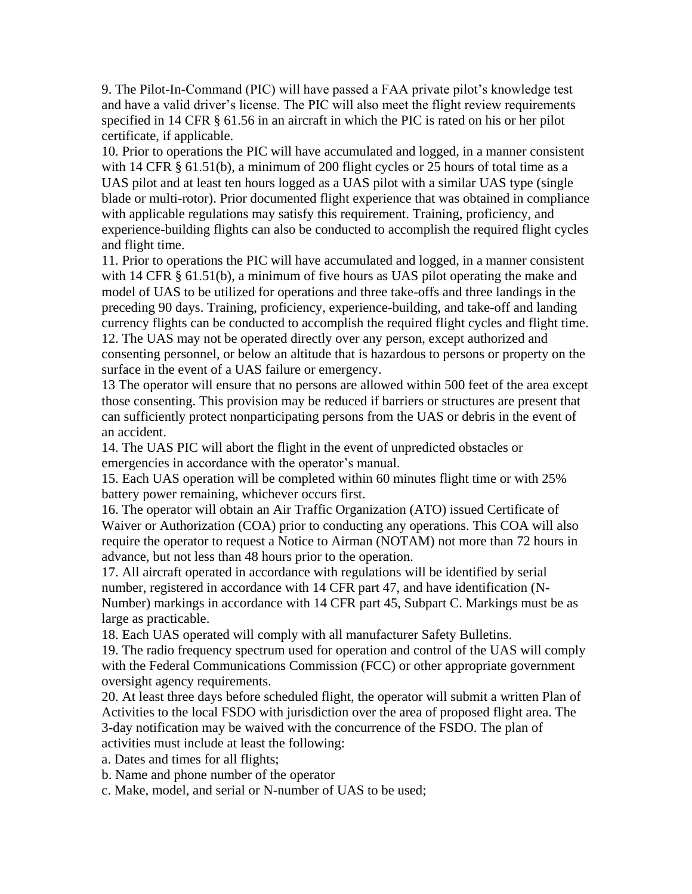9. The Pilot-In-Command (PIC) will have passed a FAA private pilot's knowledge test and have a valid driver's license. The PIC will also meet the flight review requirements specified in 14 CFR § 61.56 in an aircraft in which the PIC is rated on his or her pilot certificate, if applicable.

10. Prior to operations the PIC will have accumulated and logged, in a manner consistent with 14 CFR § 61.51(b), a minimum of 200 flight cycles or 25 hours of total time as a UAS pilot and at least ten hours logged as a UAS pilot with a similar UAS type (single blade or multi-rotor). Prior documented flight experience that was obtained in compliance with applicable regulations may satisfy this requirement. Training, proficiency, and experience-building flights can also be conducted to accomplish the required flight cycles and flight time.

11. Prior to operations the PIC will have accumulated and logged, in a manner consistent with 14 CFR § 61.51(b), a minimum of five hours as UAS pilot operating the make and model of UAS to be utilized for operations and three take-offs and three landings in the preceding 90 days. Training, proficiency, experience-building, and take-off and landing currency flights can be conducted to accomplish the required flight cycles and flight time. 12. The UAS may not be operated directly over any person, except authorized and consenting personnel, or below an altitude that is hazardous to persons or property on the surface in the event of a UAS failure or emergency.

13 The operator will ensure that no persons are allowed within 500 feet of the area except those consenting. This provision may be reduced if barriers or structures are present that can sufficiently protect nonparticipating persons from the UAS or debris in the event of an accident.

14. The UAS PIC will abort the flight in the event of unpredicted obstacles or emergencies in accordance with the operator's manual.

15. Each UAS operation will be completed within 60 minutes flight time or with 25% battery power remaining, whichever occurs first.

16. The operator will obtain an Air Traffic Organization (ATO) issued Certificate of Waiver or Authorization (COA) prior to conducting any operations. This COA will also require the operator to request a Notice to Airman (NOTAM) not more than 72 hours in advance, but not less than 48 hours prior to the operation.

17. All aircraft operated in accordance with regulations will be identified by serial number, registered in accordance with 14 CFR part 47, and have identification (N-Number) markings in accordance with 14 CFR part 45, Subpart C. Markings must be as large as practicable.

18. Each UAS operated will comply with all manufacturer Safety Bulletins.

19. The radio frequency spectrum used for operation and control of the UAS will comply with the Federal Communications Commission (FCC) or other appropriate government oversight agency requirements.

20. At least three days before scheduled flight, the operator will submit a written Plan of Activities to the local FSDO with jurisdiction over the area of proposed flight area. The 3-day notification may be waived with the concurrence of the FSDO. The plan of activities must include at least the following:

a. Dates and times for all flights;

b. Name and phone number of the operator

c. Make, model, and serial or N-number of UAS to be used;